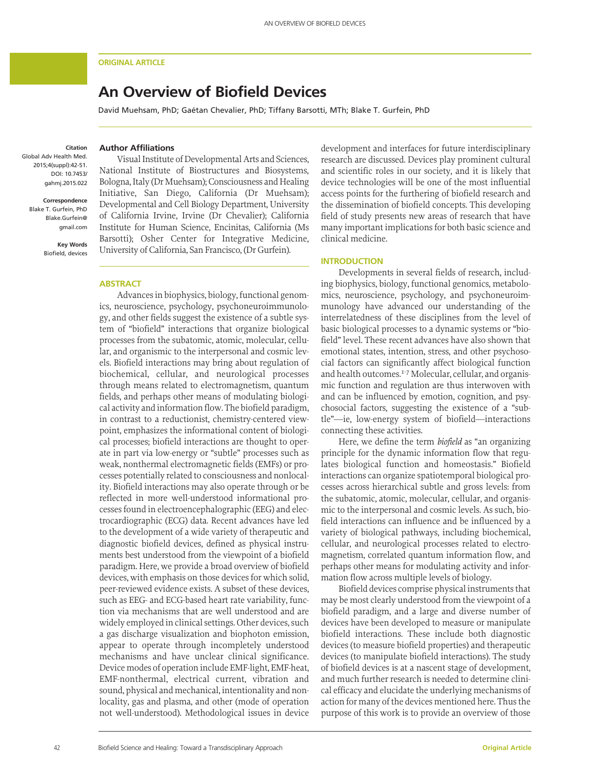#### **ORIGINAL ARTICLE**

# **An Overview of Biofield Devices**

David Muehsam, PhD; Gaétan Chevalier, PhD; Tiffany Barsotti, MTh; Blake T. Gurfein, PhD

# **Citation**

Global Adv Health Med. 2015;4(suppl):42-51. DOI: 10.7453/ gahmj.2015.022

> **Correspondence** Blake T. Gurfein, PhD Blake.Gurfein@ gmail.com

> > **Key Words** Biofield, devices

# **Author Affiliations**

Visual Institute of Developmental Arts and Sciences, National Institute of Biostructures and Biosystems, Bologna, Italy (Dr Muehsam); Consciousness and Healing Initiative, San Diego, California (Dr Muehsam); Developmental and Cell Biology Department, University of California Irvine, Irvine (Dr Chevalier); California Institute for Human Science, Encinitas, California (Ms Barsotti); Osher Center for Integrative Medicine, University of California, San Francisco, (Dr Gurfein).

#### **ABSTRACT**

Advances in biophysics, biology, functional genomics, neuroscience, psychology, psychoneuroimmunology, and other fields suggest the existence of a subtle system of "biofield" interactions that organize biological processes from the subatomic, atomic, molecular, cellular, and organismic to the interpersonal and cosmic levels. Biofield interactions may bring about regulation of biochemical, cellular, and neurological processes through means related to electromagnetism, quantum fields, and perhaps other means of modulating biological activity and information flow. The biofield paradigm, in contrast to a reductionist, chemistry-centered viewpoint, emphasizes the informational content of biological processes; biofield interactions are thought to operate in part via low-energy or "subtle" processes such as weak, nonthermal electromagnetic fields (EMFs) or processes potentially related to consciousness and nonlocality. Biofield interactions may also operate through or be reflected in more well-understood informational processes found in electroencephalographic (EEG) and electrocardiographic (ECG) data. Recent advances have led to the development of a wide variety of therapeutic and diagnostic biofield devices, defined as physical instruments best understood from the viewpoint of a biofield paradigm. Here, we provide a broad overview of biofield devices, with emphasis on those devices for which solid, peer-reviewed evidence exists. A subset of these devices, such as EEG- and ECG-based heart rate variability, function via mechanisms that are well understood and are widely employed in clinical settings. Other devices, such a gas discharge visualization and biophoton emission, appear to operate through incompletely understood mechanisms and have unclear clinical significance. Device modes of operation include EMF-light, EMF-heat, EMF-nonthermal, electrical current, vibration and sound, physical and mechanical, intentionality and nonlocality, gas and plasma, and other (mode of operation not well-understood). Methodological issues in device

development and interfaces for future interdisciplinary research are discussed. Devices play prominent cultural and scientific roles in our society, and it is likely that device technologies will be one of the most influential access points for the furthering of biofield research and the dissemination of biofield concepts. This developing field of study presents new areas of research that have many important implications for both basic science and clinical medicine.

#### **INTRODUCTION**

Developments in several fields of research, including biophysics, biology, functional genomics, metabolomics, neuroscience, psychology, and psychoneuroimmunology have advanced our understanding of the interrelatedness of these disciplines from the level of basic biological processes to a dynamic systems or "biofield" level. These recent advances have also shown that emotional states, intention, stress, and other psychosocial factors can significantly affect biological function and health outcomes.<sup>1-7</sup> Molecular, cellular, and organismic function and regulation are thus interwoven with and can be influenced by emotion, cognition, and psychosocial factors, suggesting the existence of a "subtle"—ie, low-energy system of biofield—interactions connecting these activities.

Here, we define the term *biofield* as "an organizing principle for the dynamic information flow that regulates biological function and homeostasis." Biofield interactions can organize spatiotemporal biological processes across hierarchical subtle and gross levels: from the subatomic, atomic, molecular, cellular, and organismic to the interpersonal and cosmic levels. As such, biofield interactions can influence and be influenced by a variety of biological pathways, including biochemical, cellular, and neurological processes related to electromagnetism, correlated quantum information flow, and perhaps other means for modulating activity and information flow across multiple levels of biology.

Biofield devices comprise physical instruments that may be most clearly understood from the viewpoint of a biofield paradigm, and a large and diverse number of devices have been developed to measure or manipulate biofield interactions. These include both diagnostic devices (to measure biofield properties) and therapeutic devices (to manipulate biofield interactions). The study of biofield devices is at a nascent stage of development, and much further research is needed to determine clinical efficacy and elucidate the underlying mechanisms of action for many of the devices mentioned here. Thus the purpose of this work is to provide an overview of those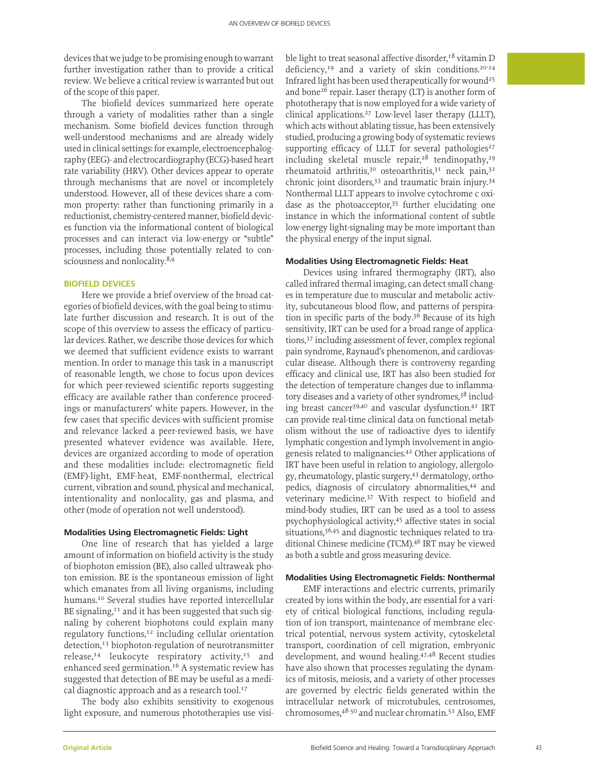devices that we judge to be promising enough to warrant further investigation rather than to provide a critical review. We believe a critical review is warranted but out of the scope of this paper.

The biofield devices summarized here operate through a variety of modalities rather than a single mechanism. Some biofield devices function through well-understood mechanisms and are already widely used in clinical settings: for example, electroencephalography (EEG)- and electrocardiography (ECG)-based heart rate variability (HRV). Other devices appear to operate through mechanisms that are novel or incompletely understood. However, all of these devices share a common property: rather than functioning primarily in a reductionist, chemistry-centered manner, biofield devices function via the informational content of biological processes and can interact via low-energy or "subtle" processes, including those potentially related to consciousness and nonlocality.<sup>8,9</sup>

#### **BIOFIELD DEVICES**

Here we provide a brief overview of the broad categories of biofield devices, with the goal being to stimulate further discussion and research. It is out of the scope of this overview to assess the efficacy of particular devices. Rather, we describe those devices for which we deemed that sufficient evidence exists to warrant mention. In order to manage this task in a manuscript of reasonable length, we chose to focus upon devices for which peer-reviewed scientific reports suggesting efficacy are available rather than conference proceedings or manufacturers' white papers. However, in the few cases that specific devices with sufficient promise and relevance lacked a peer-reviewed basis, we have presented whatever evidence was available. Here, devices are organized according to mode of operation and these modalities include: electromagnetic field (EMF)-light, EMF-heat, EMF-nonthermal, electrical current, vibration and sound, physical and mechanical, intentionality and nonlocality, gas and plasma, and other (mode of operation not well understood).

#### **Modalities Using Electromagnetic Fields: Light**

One line of research that has yielded a large amount of information on biofield activity is the study of biophoton emission (BE), also called ultraweak photon emission. BE is the spontaneous emission of light which emanates from all living organisms, including humans.10 Several studies have reported intercellular BE signaling,<sup>11</sup> and it has been suggested that such signaling by coherent biophotons could explain many regulatory functions,<sup>12</sup> including cellular orientation detection,<sup>13</sup> biophoton-regulation of neurotransmitter release,<sup>14</sup> leukocyte respiratory activity,<sup>15</sup> and enhanced seed germination.<sup>16</sup> A systematic review has suggested that detection of BE may be useful as a medical diagnostic approach and as a research tool.<sup>17</sup>

The body also exhibits sensitivity to exogenous light exposure, and numerous phototherapies use visible light to treat seasonal affective disorder, $18$  vitamin D deficiency, $^{19}$  and a variety of skin conditions. $^{20-24}$ Infrared light has been used therapeutically for wound<sup>25</sup> and bone<sup>26</sup> repair. Laser therapy  $(LT)$  is another form of phototherapy that is now employed for a wide variety of clinical applications.27 Low-level laser therapy (LLLT), which acts without ablating tissue, has been extensively studied, producing a growing body of systematic reviews supporting efficacy of LLLT for several pathologies<sup>27</sup> including skeletal muscle repair,<sup>28</sup> tendinopathy,<sup>29</sup> rheumatoid arthritis,<sup>30</sup> osteoarthritis,<sup>31</sup> neck pain,<sup>32</sup> chronic joint disorders,33 and traumatic brain injury.34 Nonthermal LLLT appears to involve cytochrome c oxidase as the photoacceptor,<sup>35</sup> further elucidating one instance in which the informational content of subtle low-energy light-signaling may be more important than the physical energy of the input signal.

# **Modalities Using Electromagnetic Fields: Heat**

Devices using infrared thermography (IRT), also called infrared thermal imaging, can detect small changes in temperature due to muscular and metabolic activity, subcutaneous blood flow, and patterns of perspiration in specific parts of the body.36 Because of its high sensitivity, IRT can be used for a broad range of applications,37 including assessment of fever, complex regional pain syndrome, Raynaud's phenomenon, and cardiovascular disease. Although there is controversy regarding efficacy and clinical use, IRT has also been studied for the detection of temperature changes due to inflammatory diseases and a variety of other syndromes,<sup>38</sup> including breast cancer39,40 and vascular dysfunction.41 IRT can provide real-time clinical data on functional metabolism without the use of radioactive dyes to identify lymphatic congestion and lymph involvement in angiogenesis related to malignancies.42 Other applications of IRT have been useful in relation to angiology, allergology, rheumatology, plastic surgery,43 dermatology, orthopedics, diagnosis of circulatory abnormalities,<sup>44</sup> and veterinary medicine.37 With respect to biofield and mind-body studies, IRT can be used as a tool to assess psychophysiological activity,<sup>45</sup> affective states in social situations,<sup>36,45</sup> and diagnostic techniques related to traditional Chinese medicine (TCM).46 IRT may be viewed as both a subtle and gross measuring device.

# **Modalities Using Electromagnetic Fields: Nonthermal**

EMF interactions and electric currents, primarily created by ions within the body, are essential for a variety of critical biological functions, including regulation of ion transport, maintenance of membrane electrical potential, nervous system activity, cytoskeletal transport, coordination of cell migration, embryonic development, and wound healing.47,48 Recent studies have also shown that processes regulating the dynamics of mitosis, meiosis, and a variety of other processes are governed by electric fields generated within the intracellular network of microtubules, centrosomes, chromosomes, 48-50 and nuclear chromatin.<sup>51</sup> Also, EMF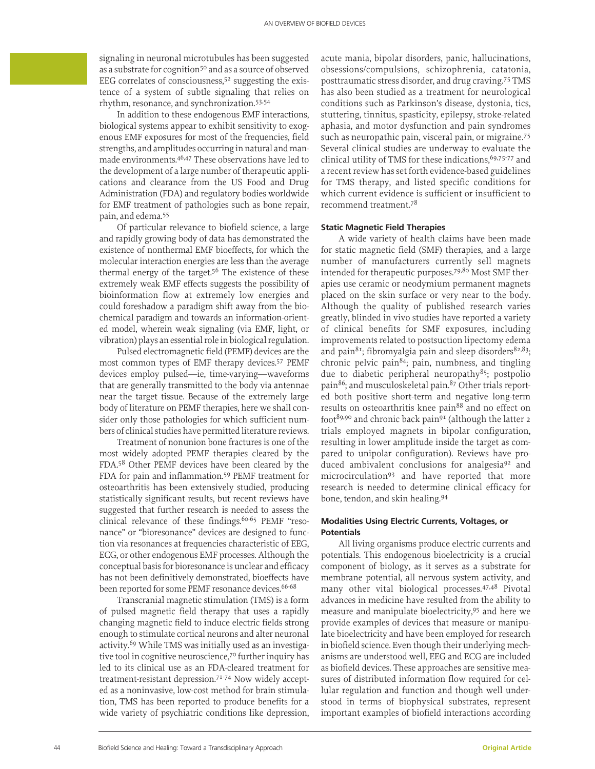signaling in neuronal microtubules has been suggested as a substrate for cognition<sup>50</sup> and as a source of observed EEG correlates of consciousness, $5<sup>2</sup>$  suggesting the existence of a system of subtle signaling that relies on rhythm, resonance, and synchronization.53,54

In addition to these endogenous EMF interactions, biological systems appear to exhibit sensitivity to exogenous EMF exposures for most of the frequencies, field strengths, and amplitudes occurring in natural and manmade environments.46,47 These observations have led to the development of a large number of therapeutic applications and clearance from the US Food and Drug Administration (FDA) and regulatory bodies worldwide for EMF treatment of pathologies such as bone repair, pain, and edema.55

Of particular relevance to biofield science, a large and rapidly growing body of data has demonstrated the existence of nonthermal EMF bioeffects, for which the molecular interaction energies are less than the average thermal energy of the target.<sup>56</sup> The existence of these extremely weak EMF effects suggests the possibility of bioinformation flow at extremely low energies and could foreshadow a paradigm shift away from the biochemical paradigm and towards an information-oriented model, wherein weak signaling (via EMF, light, or vibration) plays an essential role in biological regulation.

Pulsed electromagnetic field (PEMF) devices are the most common types of EMF therapy devices.57 PEMF devices employ pulsed—ie, time-varying—waveforms that are generally transmitted to the body via antennae near the target tissue. Because of the extremely large body of literature on PEMF therapies, here we shall consider only those pathologies for which sufficient numbers of clinical studies have permitted literature reviews.

Treatment of nonunion bone fractures is one of the most widely adopted PEMF therapies cleared by the FDA.58 Other PEMF devices have been cleared by the FDA for pain and inflammation.59 PEMF treatment for osteoarthritis has been extensively studied, producing statistically significant results, but recent reviews have suggested that further research is needed to assess the clinical relevance of these findings.<sup>60-65</sup> PEMF "resonance" or "bioresonance" devices are designed to function via resonances at frequencies characteristic of EEG, ECG, or other endogenous EMF processes. Although the conceptual basis for bioresonance is unclear and efficacy has not been definitively demonstrated, bioeffects have been reported for some PEMF resonance devices.<sup>66-68</sup>

Transcranial magnetic stimulation (TMS) is a form of pulsed magnetic field therapy that uses a rapidly changing magnetic field to induce electric fields strong enough to stimulate cortical neurons and alter neuronal activity.<sup>69</sup> While TMS was initially used as an investigative tool in cognitive neuroscience,<sup>70</sup> further inquiry has led to its clinical use as an FDA-cleared treatment for treatment-resistant depression.71-74 Now widely accepted as a noninvasive, low-cost method for brain stimulation, TMS has been reported to produce benefits for a wide variety of psychiatric conditions like depression, acute mania, bipolar disorders, panic, hallucinations, obsessions/compulsions, schizophrenia, catatonia, posttraumatic stress disorder, and drug craving.75 TMS has also been studied as a treatment for neurological conditions such as Parkinson's disease, dystonia, tics, stuttering, tinnitus, spasticity, epilepsy, stroke-related aphasia, and motor dysfunction and pain syndromes such as neuropathic pain, visceral pain, or migraine.<sup>75</sup> Several clinical studies are underway to evaluate the clinical utility of TMS for these indications,  $69,75-77$  and a recent review has set forth evidence-based guidelines for TMS therapy, and listed specific conditions for which current evidence is sufficient or insufficient to recommend treatment.78

#### **Static Magnetic Field Therapies**

A wide variety of health claims have been made for static magnetic field (SMF) therapies, and a large number of manufacturers currently sell magnets intended for therapeutic purposes.<sup>79,80</sup> Most SMF therapies use ceramic or neodymium permanent magnets placed on the skin surface or very near to the body. Although the quality of published research varies greatly, blinded in vivo studies have reported a variety of clinical benefits for SMF exposures, including improvements related to postsuction lipectomy edema and pain<sup>81</sup>; fibromyalgia pain and sleep disorders<sup>82,83</sup>; chronic pelvic pain<sup>84</sup>; pain, numbness, and tingling due to diabetic peripheral neuropathy<sup>85</sup>; postpolio pain<sup>86</sup>; and musculoskeletal pain.<sup>87</sup> Other trials reported both positive short-term and negative long-term results on osteoarthritis knee pain<sup>88</sup> and no effect on foot<sup>89,90</sup> and chronic back pain<sup>91</sup> (although the latter 2 trials employed magnets in bipolar configuration, resulting in lower amplitude inside the target as compared to unipolar configuration). Reviews have produced ambivalent conclusions for analgesia<sup>92</sup> and microcirculation93 and have reported that more research is needed to determine clinical efficacy for bone, tendon, and skin healing.94

# **Modalities Using Electric Currents, Voltages, or Potentials**

All living organisms produce electric currents and potentials. This endogenous bioelectricity is a crucial component of biology, as it serves as a substrate for membrane potential, all nervous system activity, and many other vital biological processes.<sup>47,48</sup> Pivotal advances in medicine have resulted from the ability to measure and manipulate bioelectricity,95 and here we provide examples of devices that measure or manipulate bioelectricity and have been employed for research in biofield science. Even though their underlying mechanisms are understood well, EEG and ECG are included as biofield devices. These approaches are sensitive measures of distributed information flow required for cellular regulation and function and though well understood in terms of biophysical substrates, represent important examples of biofield interactions according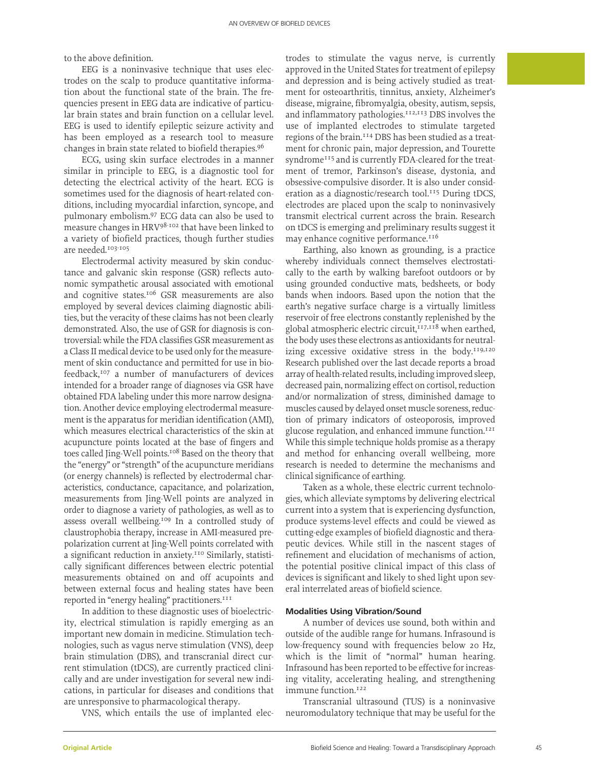to the above definition.

EEG is a noninvasive technique that uses electrodes on the scalp to produce quantitative information about the functional state of the brain. The frequencies present in EEG data are indicative of particular brain states and brain function on a cellular level. EEG is used to identify epileptic seizure activity and has been employed as a research tool to measure changes in brain state related to biofield therapies.96

ECG, using skin surface electrodes in a manner similar in principle to EEG, is a diagnostic tool for detecting the electrical activity of the heart. ECG is sometimes used for the diagnosis of heart-related conditions, including myocardial infarction, syncope, and pulmonary embolism.97 ECG data can also be used to measure changes in HRV98-102 that have been linked to a variety of biofield practices, though further studies are needed.103-105

Electrodermal activity measured by skin conductance and galvanic skin response (GSR) reflects autonomic sympathetic arousal associated with emotional and cognitive states.106 GSR measurements are also employed by several devices claiming diagnostic abilities, but the veracity of these claims has not been clearly demonstrated. Also, the use of GSR for diagnosis is controversial: while the FDA classifies GSR measurement as a Class II medical device to be used only for the measurement of skin conductance and permitted for use in biofeedback,107 a number of manufacturers of devices intended for a broader range of diagnoses via GSR have obtained FDA labeling under this more narrow designation. Another device employing electrodermal measurement is the apparatus for meridian identification (AMI), which measures electrical characteristics of the skin at acupuncture points located at the base of fingers and toes called Jing-Well points.<sup>108</sup> Based on the theory that the "energy" or "strength" of the acupuncture meridians (or energy channels) is reflected by electrodermal characteristics, conductance, capacitance, and polarization, measurements from Jing-Well points are analyzed in order to diagnose a variety of pathologies, as well as to assess overall wellbeing.<sup>109</sup> In a controlled study of claustrophobia therapy, increase in AMI-measured prepolarization current at Jing-Well points correlated with a significant reduction in anxiety.<sup>110</sup> Similarly, statistically significant differences between electric potential measurements obtained on and off acupoints and between external focus and healing states have been reported in "energy healing" practitioners.<sup>111</sup>

In addition to these diagnostic uses of bioelectricity, electrical stimulation is rapidly emerging as an important new domain in medicine. Stimulation technologies, such as vagus nerve stimulation (VNS), deep brain stimulation (DBS), and transcranial direct current stimulation (tDCS), are currently practiced clinically and are under investigation for several new indications, in particular for diseases and conditions that are unresponsive to pharmacological therapy.

VNS, which entails the use of implanted elec-

trodes to stimulate the vagus nerve, is currently approved in the United States for treatment of epilepsy and depression and is being actively studied as treatment for osteoarthritis, tinnitus, anxiety, Alzheimer's disease, migraine, fibromyalgia, obesity, autism, sepsis, and inflammatory pathologies.<sup>112,113</sup> DBS involves the use of implanted electrodes to stimulate targeted regions of the brain.<sup>114</sup> DBS has been studied as a treatment for chronic pain, major depression, and Tourette syndrome<sup>115</sup> and is currently FDA-cleared for the treatment of tremor, Parkinson's disease, dystonia, and obsessive-compulsive disorder. It is also under consideration as a diagnostic/research tool.<sup>115</sup> During tDCS, electrodes are placed upon the scalp to noninvasively transmit electrical current across the brain. Research on tDCS is emerging and preliminary results suggest it may enhance cognitive performance.<sup>116</sup>

Earthing, also known as grounding, is a practice whereby individuals connect themselves electrostatically to the earth by walking barefoot outdoors or by using grounded conductive mats, bedsheets, or body bands when indoors. Based upon the notion that the earth's negative surface charge is a virtually limitless reservoir of free electrons constantly replenished by the global atmospheric electric circuit,<sup>117,118</sup> when earthed, the body uses these electrons as antioxidants for neutralizing excessive oxidative stress in the body.<sup>119,120</sup> Research published over the last decade reports a broad array of health-related results, including improved sleep, decreased pain, normalizing effect on cortisol, reduction and/or normalization of stress, diminished damage to muscles caused by delayed onset muscle soreness, reduction of primary indicators of osteoporosis, improved glucose regulation, and enhanced immune function.<sup>121</sup> While this simple technique holds promise as a therapy and method for enhancing overall wellbeing, more research is needed to determine the mechanisms and clinical significance of earthing.

Taken as a whole, these electric current technologies, which alleviate symptoms by delivering electrical current into a system that is experiencing dysfunction, produce systems-level effects and could be viewed as cutting-edge examples of biofield diagnostic and therapeutic devices. While still in the nascent stages of refinement and elucidation of mechanisms of action, the potential positive clinical impact of this class of devices is significant and likely to shed light upon several interrelated areas of biofield science.

# **Modalities Using Vibration/Sound**

A number of devices use sound, both within and outside of the audible range for humans. Infrasound is low-frequency sound with frequencies below 20 Hz, which is the limit of "normal" human hearing. Infrasound has been reported to be effective for increasing vitality, accelerating healing, and strengthening immune function.<sup>122</sup>

Transcranial ultrasound (TUS) is a noninvasive neuromodulatory technique that may be useful for the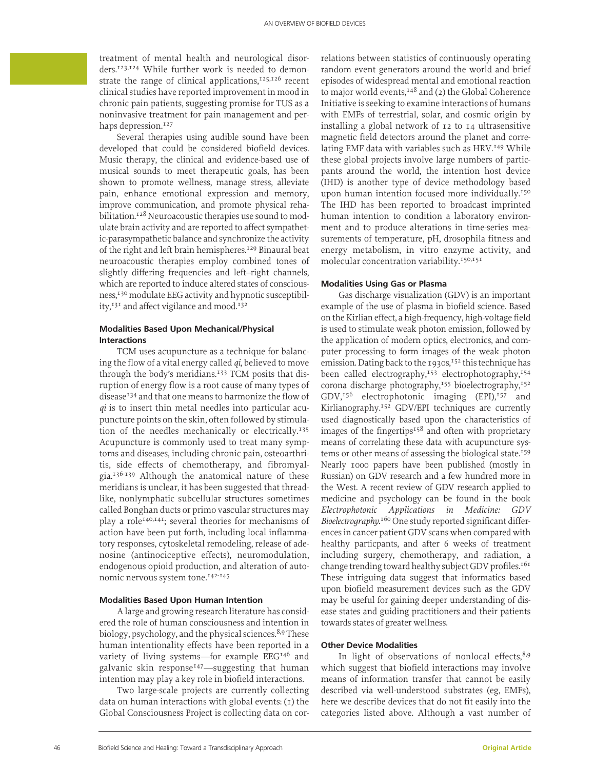treatment of mental health and neurological disorders.123,124 While further work is needed to demonstrate the range of clinical applications, $125,126$  recent clinical studies have reported improvement in mood in chronic pain patients, suggesting promise for TUS as a noninvasive treatment for pain management and perhaps depression.<sup>127</sup>

Several therapies using audible sound have been developed that could be considered biofield devices. Music therapy, the clinical and evidence-based use of musical sounds to meet therapeutic goals, has been shown to promote wellness, manage stress, alleviate pain, enhance emotional expression and memory, improve communication, and promote physical rehabilitation.<sup>128</sup> Neuroacoustic therapies use sound to modulate brain activity and are reported to affect sympathetic-parasympathetic balance and synchronize the activity of the right and left brain hemispheres.129 Binaural beat neuroacoustic therapies employ combined tones of slightly differing frequencies and left–right channels, which are reported to induce altered states of consciousness,130 modulate EEG activity and hypnotic susceptibility,<sup>131</sup> and affect vigilance and mood.<sup>132</sup>

# **Modalities Based Upon Mechanical/Physical Interactions**

TCM uses acupuncture as a technique for balancing the flow of a vital energy called *qi*, believed to move through the body's meridians.<sup>133</sup> TCM posits that disruption of energy flow is a root cause of many types of disease<sup>134</sup> and that one means to harmonize the flow of *qi* is to insert thin metal needles into particular acupuncture points on the skin, often followed by stimulation of the needles mechanically or electrically.<sup>135</sup> Acupuncture is commonly used to treat many symptoms and diseases, including chronic pain, osteoarthritis, side effects of chemotherapy, and fibromyalgia.136-139 Although the anatomical nature of these meridians is unclear, it has been suggested that threadlike, nonlymphatic subcellular structures sometimes called Bonghan ducts or primo vascular structures may play a role<sup>140,141</sup>; several theories for mechanisms of action have been put forth, including local inflammatory responses, cytoskeletal remodeling, release of adenosine (antinociceptive effects), neuromodulation, endogenous opioid production, and alteration of autonomic nervous system tone.<sup>142-145</sup>

#### **Modalities Based Upon Human Intention**

A large and growing research literature has considered the role of human consciousness and intention in biology, psychology, and the physical sciences.<sup>8,9</sup> These human intentionality effects have been reported in a variety of living systems—for example EEG<sup>146</sup> and galvanic skin response<sup>147</sup>—suggesting that human intention may play a key role in biofield interactions.

Two large-scale projects are currently collecting data on human interactions with global events:  $(i)$  the Global Consciousness Project is collecting data on correlations between statistics of continuously operating random event generators around the world and brief episodes of widespread mental and emotional reaction to major world events,<sup>148</sup> and (2) the Global Coherence Initiative is seeking to examine interactions of humans with EMFs of terrestrial, solar, and cosmic origin by installing a global network of 12 to 14 ultrasensitive magnetic field detectors around the planet and correlating EMF data with variables such as HRV.<sup>149</sup> While these global projects involve large numbers of particpants around the world, the intention host device (IHD) is another type of device methodology based upon human intention focused more individually.<sup>150</sup> The IHD has been reported to broadcast imprinted human intention to condition a laboratory environment and to produce alterations in time-series measurements of temperature, pH, drosophila fitness and energy metabolism, in vitro enzyme activity, and molecular concentration variability.<sup>150,151</sup>

### **Modalities Using Gas or Plasma**

Gas discharge visualization (GDV) is an important example of the use of plasma in biofield science. Based on the Kirlian effect, a high-frequency, high-voltage field is used to stimulate weak photon emission, followed by the application of modern optics, electronics, and computer processing to form images of the weak photon emission. Dating back to the 1930s,<sup>152</sup> this technique has been called electrography,<sup>153</sup> electrophotography,<sup>154</sup> corona discharge photography,<sup>155</sup> bioelectrography,<sup>152</sup>  $GDV<sub>156</sub>$  electrophotonic imaging  $(EPI)<sub>157</sub>$  and Kirlianography.152 GDV/EPI techniques are currently used diagnostically based upon the characteristics of images of the fingertips<sup>158</sup> and often with proprietary means of correlating these data with acupuncture systems or other means of assessing the biological state.<sup>159</sup> Nearly 1000 papers have been published (mostly in Russian) on GDV research and a few hundred more in the West. A recent review of GDV research applied to medicine and psychology can be found in the book *Electrophotonic Applications in Medicine: GDV Bioelectrography.*160 One study reported significant differences in cancer patient GDV scans when compared with healthy particpants, and after 6 weeks of treatment including surgery, chemotherapy, and radiation, a change trending toward healthy subject GDV profiles.<sup>161</sup> These intriguing data suggest that informatics based upon biofield measurement devices such as the GDV may be useful for gaining deeper understanding of disease states and guiding practitioners and their patients towards states of greater wellness.

# **Other Device Modalities**

In light of observations of nonlocal effects, $8,9$ which suggest that biofield interactions may involve means of information transfer that cannot be easily described via well-understood substrates (eg, EMFs), here we describe devices that do not fit easily into the categories listed above. Although a vast number of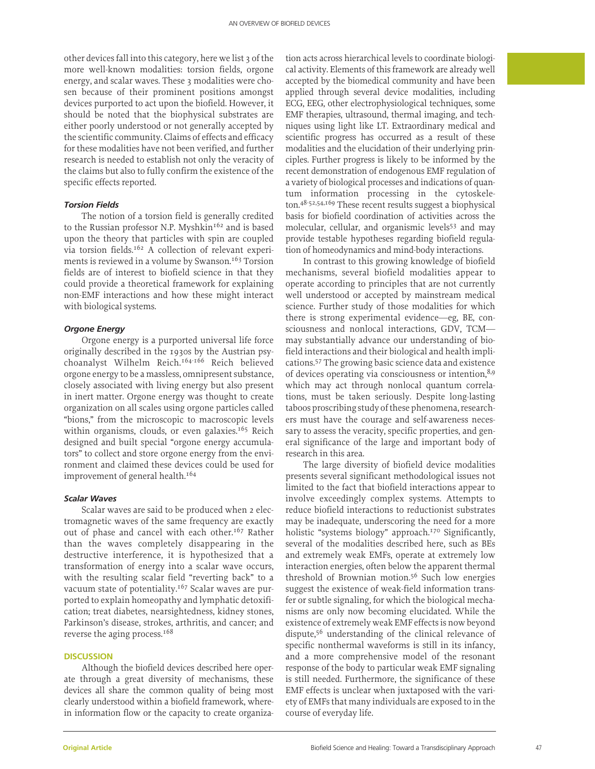other devices fall into this category, here we list 3 of the more well-known modalities: torsion fields, orgone energy, and scalar waves. These 3 modalities were chosen because of their prominent positions amongst devices purported to act upon the biofield. However, it should be noted that the biophysical substrates are either poorly understood or not generally accepted by the scientific community. Claims of effects and efficacy for these modalities have not been verified, and further research is needed to establish not only the veracity of the claims but also to fully confirm the existence of the specific effects reported.

#### *Torsion Fields*

The notion of a torsion field is generally credited to the Russian professor N.P. Myshkin<sup>162</sup> and is based upon the theory that particles with spin are coupled via torsion fields.162 A collection of relevant experiments is reviewed in a volume by Swanson.<sup>163</sup> Torsion fields are of interest to biofield science in that they could provide a theoretical framework for explaining non-EMF interactions and how these might interact with biological systems.

#### *Orgone Energy*

Orgone energy is a purported universal life force originally described in the 1930s by the Austrian psychoanalyst Wilhelm Reich.164-166 Reich believed orgone energy to be a massless, omnipresent substance, closely associated with living energy but also present in inert matter. Orgone energy was thought to create organization on all scales using orgone particles called "bions," from the microscopic to macroscopic levels within organisms, clouds, or even galaxies.<sup>165</sup> Reich designed and built special "orgone energy accumulators" to collect and store orgone energy from the environment and claimed these devices could be used for improvement of general health.<sup>164</sup>

#### *Scalar Waves*

Scalar waves are said to be produced when 2 electromagnetic waves of the same frequency are exactly out of phase and cancel with each other.<sup>167</sup> Rather than the waves completely disappearing in the destructive interference, it is hypothesized that a transformation of energy into a scalar wave occurs, with the resulting scalar field "reverting back" to a vacuum state of potentiality.<sup>167</sup> Scalar waves are purported to explain homeopathy and lymphatic detoxification; treat diabetes, nearsightedness, kidney stones, Parkinson's disease, strokes, arthritis, and cancer; and reverse the aging process.168

# **DISCUSSION**

Although the biofield devices described here operate through a great diversity of mechanisms, these devices all share the common quality of being most clearly understood within a biofield framework, wherein information flow or the capacity to create organiza-

tion acts across hierarchical levels to coordinate biological activity. Elements of this framework are already well accepted by the biomedical community and have been applied through several device modalities, including ECG, EEG, other electrophysiological techniques, some EMF therapies, ultrasound, thermal imaging, and techniques using light like LT. Extraordinary medical and scientific progress has occurred as a result of these modalities and the elucidation of their underlying principles. Further progress is likely to be informed by the recent demonstration of endogenous EMF regulation of a variety of biological processes and indications of quantum information processing in the cytoskeleton.48-52,54,169 These recent results suggest a biophysical basis for biofield coordination of activities across the molecular, cellular, and organismic levels<sup>53</sup> and may provide testable hypotheses regarding biofield regulation of homeodynamics and mind-body interactions.

In contrast to this growing knowledge of biofield mechanisms, several biofield modalities appear to operate according to principles that are not currently well understood or accepted by mainstream medical science. Further study of those modalities for which there is strong experimental evidence—eg, BE, consciousness and nonlocal interactions, GDV, TCM may substantially advance our understanding of biofield interactions and their biological and health implications.57 The growing basic science data and existence of devices operating via consciousness or intention,8,9 which may act through nonlocal quantum correlations, must be taken seriously. Despite long-lasting taboos proscribing study of these phenomena, researchers must have the courage and self-awareness necessary to assess the veracity, specific properties, and general significance of the large and important body of research in this area.

The large diversity of biofield device modalities presents several significant methodological issues not limited to the fact that biofield interactions appear to involve exceedingly complex systems. Attempts to reduce biofield interactions to reductionist substrates may be inadequate, underscoring the need for a more holistic "systems biology" approach.<sup>170</sup> Significantly, several of the modalities described here, such as BEs and extremely weak EMFs, operate at extremely low interaction energies, often below the apparent thermal threshold of Brownian motion.56 Such low energies suggest the existence of weak-field information transfer or subtle signaling, for which the biological mechanisms are only now becoming elucidated. While the existence of extremely weak EMF effects is now beyond dispute,56 understanding of the clinical relevance of specific nonthermal waveforms is still in its infancy, and a more comprehensive model of the resonant response of the body to particular weak EMF signaling is still needed. Furthermore, the significance of these EMF effects is unclear when juxtaposed with the variety of EMFs that many individuals are exposed to in the course of everyday life.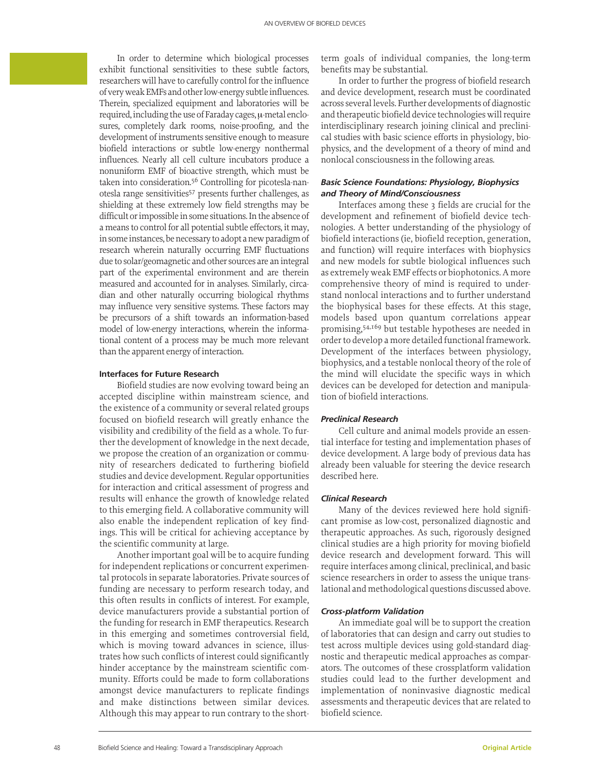In order to determine which biological processes exhibit functional sensitivities to these subtle factors, researchers will have to carefully control for the influence of very weak EMFs and other low-energy subtle influences. Therein, specialized equipment and laboratories will be required, including the use of Faraday cages, µ-metal enclosures, completely dark rooms, noise-proofing, and the development of instruments sensitive enough to measure biofield interactions or subtle low-energy nonthermal influences. Nearly all cell culture incubators produce a nonuniform EMF of bioactive strength, which must be taken into consideration.56 Controlling for picotesla-nanotesla range sensitivities<sup>57</sup> presents further challenges, as shielding at these extremely low field strengths may be difficult or impossible in some situations. In the absence of a means to control for all potential subtle effectors, it may, in some instances, be necessary to adopt a new paradigm of research wherein naturally occurring EMF fluctuations due to solar/geomagnetic and other sources are an integral part of the experimental environment and are therein measured and accounted for in analyses. Similarly, circadian and other naturally occurring biological rhythms may influence very sensitive systems. These factors may be precursors of a shift towards an information-based model of low-energy interactions, wherein the informational content of a process may be much more relevant than the apparent energy of interaction.

#### **Interfaces for Future Research**

Biofield studies are now evolving toward being an accepted discipline within mainstream science, and the existence of a community or several related groups focused on biofield research will greatly enhance the visibility and credibility of the field as a whole. To further the development of knowledge in the next decade, we propose the creation of an organization or community of researchers dedicated to furthering biofield studies and device development. Regular opportunities for interaction and critical assessment of progress and results will enhance the growth of knowledge related to this emerging field. A collaborative community will also enable the independent replication of key findings. This will be critical for achieving acceptance by the scientific community at large.

Another important goal will be to acquire funding for independent replications or concurrent experimental protocols in separate laboratories. Private sources of funding are necessary to perform research today, and this often results in conflicts of interest. For example, device manufacturers provide a substantial portion of the funding for research in EMF therapeutics. Research in this emerging and sometimes controversial field, which is moving toward advances in science, illustrates how such conflicts of interest could significantly hinder acceptance by the mainstream scientific community. Efforts could be made to form collaborations amongst device manufacturers to replicate findings and make distinctions between similar devices. Although this may appear to run contrary to the shortterm goals of individual companies, the long-term benefits may be substantial.

In order to further the progress of biofield research and device development, research must be coordinated across several levels. Further developments of diagnostic and therapeutic biofield device technologies will require interdisciplinary research joining clinical and preclinical studies with basic science efforts in physiology, biophysics, and the development of a theory of mind and nonlocal consciousness in the following areas.

# *Basic Science Foundations: Physiology, Biophysics and Theory of Mind/Consciousness*

Interfaces among these 3 fields are crucial for the development and refinement of biofield device technologies. A better understanding of the physiology of biofield interactions (ie, biofield reception, generation, and function) will require interfaces with biophysics and new models for subtle biological influences such as extremely weak EMF effects or biophotonics. A more comprehensive theory of mind is required to understand nonlocal interactions and to further understand the biophysical bases for these effects. At this stage, models based upon quantum correlations appear promising,54,169 but testable hypotheses are needed in order to develop a more detailed functional framework. Development of the interfaces between physiology, biophysics, and a testable nonlocal theory of the role of the mind will elucidate the specific ways in which devices can be developed for detection and manipulation of biofield interactions.

# *Preclinical Research*

Cell culture and animal models provide an essential interface for testing and implementation phases of device development. A large body of previous data has already been valuable for steering the device research described here.

# *Clinical Research*

Many of the devices reviewed here hold significant promise as low-cost, personalized diagnostic and therapeutic approaches. As such, rigorously designed clinical studies are a high priority for moving biofield device research and development forward. This will require interfaces among clinical, preclinical, and basic science researchers in order to assess the unique translational and methodological questions discussed above.

#### *Cross-platform Validation*

An immediate goal will be to support the creation of laboratories that can design and carry out studies to test across multiple devices using gold-standard diagnostic and therapeutic medical approaches as comparators. The outcomes of these crossplatform validation studies could lead to the further development and implementation of noninvasive diagnostic medical assessments and therapeutic devices that are related to biofield science.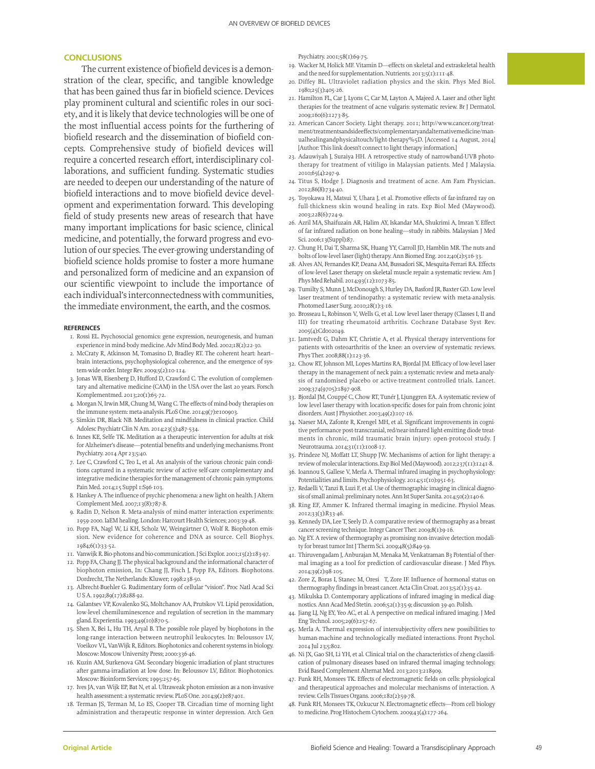# **CONCLUSIONS**

The current existence of biofield devices is a demonstration of the clear, specific, and tangible knowledge that has been gained thus far in biofield science. Devices play prominent cultural and scientific roles in our society, and it is likely that device technologies will be one of the most influential access points for the furthering of biofield research and the dissemination of biofield concepts. Comprehensive study of biofield devices will require a concerted research effort, interdisciplinary collaborations, and sufficient funding. Systematic studies are needed to deepen our understanding of the nature of biofield interactions and to move biofield device development and experimentation forward. This developing field of study presents new areas of research that have many important implications for basic science, clinical medicine, and potentially, the forward progress and evolution of our species. The ever-growing understanding of biofield science holds promise to foster a more humane and personalized form of medicine and an expansion of our scientific viewpoint to include the importance of each individual's interconnectedness with communities, the immediate environment, the earth, and the cosmos.

#### **REFERENCES**

- 1. Rossi EL. Psychosocial genomics: gene expression, neurogenesis, and human experience in mind-body medicine. Adv Mind Body Med. 2002;18(2):22-30.
- 2. McCraty R, Atkinson M, Tomasino D, Bradley RT. The coherent heart: heart– brain interactions, psychophysiological coherence, and the emergence of system-wide order. Integr Rev. 2009;5(2):10-114.
- 3. Jonas WB, Eisenberg D, Hufford D, Crawford C. The evolution of complementary and alternative medicine (CAM) in the USA over the last 20 years. Forsch Komplementmed. 2013;20(1):65-72.
- 4. Morgan N, Irwin MR, Chung M, Wang C. The effects of mind-body therapies on the immune system: meta-analysis. PLoS One. 2014;9(7):e100903.
- 5. Simkin DR, Black NB. Meditation and mindfulness in clinical practice. Child Adolesc Psychiatr Clin N Am. 2014;23(3):487-534.
- 6. Innes KE, Selfe TK. Meditation as a therapeutic intervention for adults at risk for Alzheimer's disease—potential benefits and underlying mechanisms. Front Psychiatry. 2014 Apr 23;5:40.
- 7. Lee C, Crawford C, Teo L, et al. An analysis of the various chronic pain conditions captured in a systematic review of active self-care complementary and integrative medicine therapies for the management of chronic pain symptoms. Pain Med. 2014;15 Suppl 1:S96-103.
- 8. Hankey A. The influence of psychic phenomena: a new light on health. J Altern Complement Med. 2007;13(8):787-8.
- 9. Radin D, Nelson R. Meta-analysis of mind-matter interaction experiments: 1959-2000. IaEM healing. London: Harcourt Health Sciences; 2003:39-48.
- 10. Popp FA, Nagl W, Li KH, Scholz W, Weingärtner O, Wolf R. Biophoton emission. New evidence for coherence and DNA as source. Cell Biophys. 1984;6(1):33-52.
- 11. Vanwijk R. Bio-photons and bio-communication. J Sci Explor. 2001;15(2):183-97.
- 12. Popp FA, Chang JJ. The physical background and the informational character of biophoton emission, In: Chang JJ, Fisch J, Popp FA, Editors. Biophotons. Dordrecht, The Netherlands: Kluwer; 1998:238-50.
- 13. Albrecht-Buehler G. Rudimentary form of cellular "vision". Proc Natl Acad Sci U S A. 1992;89(17):8288-92.
- 14. Galantsev VP, Kovalenko SG, Moltchanov AA, Prutskov VI. Lipid peroxidation, low-level chemiluminescence and regulation of secretion in the mammary gland. Experientia. 1993;49(10):870-5.
- 15. Shen X, Bei L, Hu TH, Aryal B. The possible role played by biophotons in the long-range interaction between neutrophil leukocytes. In: Beloussov LV, Voeikov VL, VanWijk R, Editors. Biophotonics and coherent systems in biology. Moscow: Moscow University Press; 2000:336-46.
- 16. Kuzin AM, Surkenova GM. Secondary biogenic irradiation of plant structures after gamma-irradiation at low dose. In: Beloussov LV, Editor. Biophotonics. Moscow: Bioinform Services; 1995:257-65.
- 17. Ives JA, van Wijk EP, Bat N, et al. Ultraweak photon emission as a non-invasive health assessment: a systematic review. PLoS One. 2014;9(2):e87401.
- 18. Terman JS, Terman M, Lo ES, Cooper TB. Circadian time of morning light administration and therapeutic response in winter depression. Arch Gen

Psychiatry. 2001;58(1):69-75.

- 19. Wacker M, Holick MF. Vitamin D—effects on skeletal and extraskeletal health and the need for supplementation. Nutrients. 2013;5(1):111-48.
- 20. Diffey BL. Ultraviolet radiation physics and the skin. Phys Med Biol. 1980;25(3):405-26.
- 21. Hamilton FL, Car J, Lyons C, Car M, Layton A, Majeed A. Laser and other light therapies for the treatment of acne vulgaris: systematic review. Br J Dermatol. 2009;160(6):1273-85.
- 22. American Cancer Society. Light therapy. 2011; http://www.cancer.org/treatment/treatmentsandsideeffects/complementaryandalternativemedicine/manualhealingandphysicaltouch/light-therapy%5D. [Accessed 14 August, 2014] [Author: This link doesn't connect to light therapy information.]
- 23. Adauwiyah J, Suraiya HH. A retrospective study of narrowband-UVB phototherapy for treatment of vitiligo in Malaysian patients. Med J Malaysia. 2010;65(4):297-9.
- 24. Titus S, Hodge J. Diagnosis and treatment of acne. Am Fam Physician. 2012;86(8):734-40.
- 25. Toyokawa H, Matsui Y, Uhara J, et al. Promotive effects of far-infrared ray on full-thickness skin wound healing in rats. Exp Biol Med (Maywood). 2003;228(6):724-9.
- 26. Azril MA, Shaifuzain AR, Halim AY, Iskandar MA, Shukrimi A, Imran Y. Effect of far infrared radiation on bone healing—study in rabbits. Malaysian J Med Sci. 2006;13(Suppl):87.
- 27. Chung H, Dai T, Sharma SK, Huang YY, Carroll JD, Hamblin MR. The nuts and bolts of low-level laser (light) therapy. Ann Biomed Eng. 2012;40(2):516-33.
- 28. Alves AN, Fernandes KP, Deana AM, Bussadori SK, Mesquita-Ferrari RA. Effects of low-level Laser therapy on skeletal muscle repair: a systematic review. Am J Phys Med Rehabil. 2014;93(12):1073-85.
- 29. Tumilty S, Munn J, McDonough S, Hurley DA, Basford JR, Baxter GD. Low level laser treatment of tendinopathy: a systematic review with meta-analysis. Photomed Laser Surg. 2010;28(1):3-16.
- 30. Brosseau L, Robinson V, Wells G, et al. Low level laser therapy (Classes I, II and III) for treating rheumatoid arthritis. Cochrane Database Syst Rev. 2005(4):Cd002049.
- 31. Jamtvedt G, Dahm KT, Christie A, et al. Physical therapy interventions for patients with osteoarthritis of the knee: an overview of systematic reviews. Phys Ther. 2008;88(1):123-36.
- 32. Chow RT, Johnson MI, Lopes-Martins RA, Bjordal JM. Efficacy of low-level laser therapy in the management of neck pain: a systematic review and meta-analysis of randomised placebo or active-treatment controlled trials. Lancet. 2009;374(9705):1897-908.
- 33. Bjordal JM, Couppé C, Chow RT, Tunér J, Ljunggren EA. A systematic review of low level laser therapy with location-specific doses for pain from chronic joint disorders. Aust J Physiother. 2003;49(2):107-16.
- 34. Naeser MA, Zafonte R, Krengel MH, et al. Significant improvements in cognitive performance post-transcranial, red/near-infrared light-emitting diode treatments in chronic, mild traumatic brain injury: open-protocol study. J Neurotrauma. 2014;31(11):1008-17.
- 35. Prindeze NJ, Moffatt LT, Shupp JW. Mechanisms of action for light therapy: a review of molecular interactions. Exp Biol Med (Maywood). 2012;237(11):1241-8.
- 36. Ioannou S, Gallese V, Merla A. Thermal infrared imaging in psychophysiology: Potentialities and limits. Psychophysiology. 2014;51(10):951-63.
- 37. Redaelli V, Tanzi B, Luzi F, et al. Use of thermographic imaging in clinical diagnosis of small animal: preliminary notes. Ann Ist Super Sanita. 2014;50(2):140-6.
- 38. Ring EF, Ammer K. Infrared thermal imaging in medicine. Physiol Meas. 2012;33(3):R33-46.
- 39. Kennedy DA, Lee T, Seely D. A comparative review of thermography as a breast cancer screening technique. Integr Cancer Ther. 2009;8(1):9-16.
- 40. Ng EY. A review of thermography as promising non-invasive detection modality for breast tumor Int J Therm Sci. 2009;48(5):849-59.
- 41. Thiruvengadam J, Anburajan M, Menaka M, Venkatraman B3 Potential of thermal imaging as a tool for prediction of cardiovascular disease. J Med Phys. 2014;39(2):98-105.
- 42. Zore Z, Boras I, Stanec M, Oresi T, Zore IF. Influence of hormonal status on thermography findings in breast cancer. Acta Clin Croat. 2013;52(1):35-42.
- 43. Mikulska D. Contemporary applications of infrared imaging in medical diagnostics. Ann Acad Med Stetin. 2006;52(1):35-9; discussion 39-40. Polish.
- 44. Jiang LJ, Ng EY, Yeo AC, et al. A perspective on medical infrared imaging. J Med Eng Technol. 2005;29(6):257-67.
- 45. Merla A. Thermal expression of intersubjectivity offers new possibilities to human-machine and technologically mediated interactions. Front Psychol. 2014 Jul 23;5:802.
- 46. Ni JX, Gao SH, Li YH, et al. Clinical trial on the characteristics of zheng classification of pulmonary diseases based on infrared thermal imaging technology. Evid Based Complement Alternat Med. 2013;2013:218909.
- 47. Funk RH, Monsees TK. Effects of electromagnetic fields on cells: physiological and therapeutical approaches and molecular mechanisms of interaction. A review. Cells Tissues Organs. 2006;182(2):59-78.
- 48. Funk RH, Monsees TK, Ozkucur N. Electromagnetic effects—From cell biology to medicine. Prog Histochem Cytochem. 2009;43(4):177-264.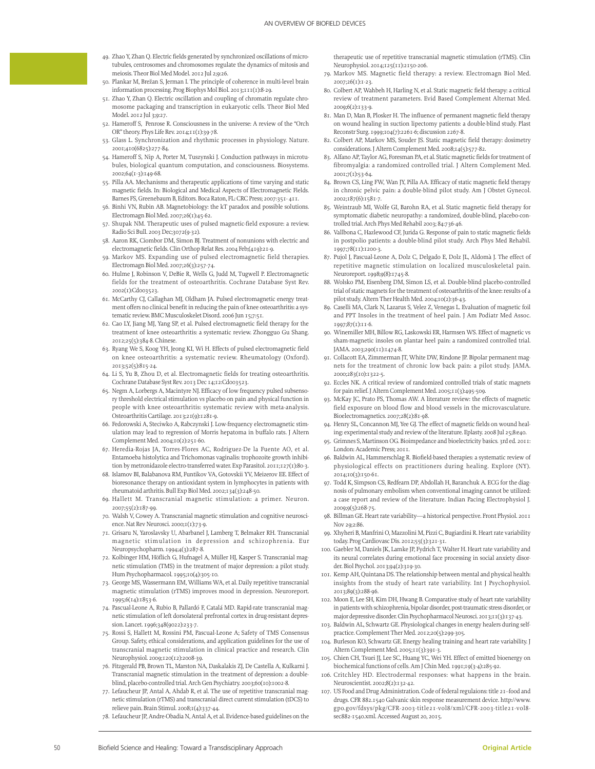- 49. Zhao Y, Zhan Q. Electric fields generated by synchronized oscillations of microtubules, centrosomes and chromosomes regulate the dynamics of mitosis and meiosis. Theor Biol Med Model. 2012 Jul 2;9:26.
- 50. Plankar M, Brežan S, Jerman I. The principle of coherence in multi-level brain information processing. Prog Biophys Mol Biol. 2013;111(1):8-29.
- 51. Zhao Y, Zhan Q. Electric oscillation and coupling of chromatin regulate chromosome packaging and transcription in eukaryotic cells. Theor Biol Med Model. 2012 Jul 3;9:27.
- 52. Hameroff S, Penrose R. Consciousness in the universe: A review of the "Orch OR" theory. Phys Life Rev. 2014;11(1):39-78.
- 53. Glass L. Synchronization and rhythmic processes in physiology. Nature. 2001;410(6825):277-84.
- 54. Hameroff S, Nip A, Porter M, Tuszynski J. Conduction pathways in microtubules, biological quantum computation, and consciousness. Biosystems. 2002;64(1-3):149-68.
- 55. Pilla AA. Mechanisms and therapeutic applications of time varying and static magnetic fields. In: Biological and Medical Aspects of Electromagnetic Fields. Barnes FS, Greenebaum B, Editors. Boca Raton, FL: CRC Press; 2007:351- 411.
- 56. Binhi VN, Rubin AB. Magnetobiology: the kT paradox and possible solutions. Electromagn Biol Med. 2007;26(1):45-62.
- 57. Shupak NM. Therapeutic uses of pulsed magnetic-field exposure: a review. Radio Sci Bull. 2003 Dec;3072(9-32).
- 58. Aaron RK, Ciombor DM, Simon BJ. Treatment of nonunions with electric and electromagnetic fields. Clin Orthop Relat Res. 2004 Feb;(419):21-9.
- 59. Markov MS. Expanding use of pulsed electromagnetic field therapies. Electromagn Biol Med. 2007;26(3):257-74.
- 60. Hulme J, Robinson V, DeBie R, Wells G, Judd M, Tugwell P. Electromagnetic fields for the treatment of osteoarthritis. Cochrane Database Syst Rev. 2002(1):Cd003523.
- 61. McCarthy CJ, Callaghan MJ, Oldham JA. Pulsed electromagnetic energy treatment offers no clinical benefit in reducing the pain of knee osteoarthritis: a systematic review. BMC Musculoskelet Disord. 2006 Jun 15;7:51.
- 62. Cao LY, Jiang MJ, Yang SP, et al. Pulsed electromagnetic field therapy for the treatment of knee osteoarthritis: a systematic review. Zhongguo Gu Shang. 2012;25(5):384-8. Chinese.
- 63. Ryang We S, Koog YH, Jeong KI, Wi H. Effects of pulsed electromagnetic field on knee osteoarthritis: a systematic review. Rheumatology (Oxford). 2013;52(5):815-24.
- 64. Li S, Yu B, Zhou D, et al. Electromagnetic fields for treating osteoarthritis. Cochrane Database Syst Rev. 2013 Dec 14;12:Cd003523.
- 65. Negm A, Lorbergs A, Macintyre NJ. Efficacy of low frequency pulsed subsensory threshold electrical stimulation vs placebo on pain and physical function in people with knee osteoarthritis: systematic review with meta-analysis. Osteoarthritis Cartilage. 2013;21(9):1281-9.
- 66. Fedorowski A, Steciwko A, Rabczynski J. Low-frequency electromagnetic stimulation may lead to regression of Morris hepatoma in buffalo rats. J Altern Complement Med. 2004;10(2):251-60.
- 67. Heredia-Rojas JA, Torres-Flores AC, Rodriguez-De la Fuente AO, et al. Entamoeba histolytica and Trichomonas vaginalis: trophozoite growth inhibition by metronidazole electro-transferred water. Exp Parasitol. 2011;127(1):80-3.
- 68. Islamov BI, Balabanova RM, Funtikov VA, Gotovskii YV, Meizerov EE. Effect of bioresonance therapy on antioxidant system in lymphocytes in patients with rheumatoid arthritis. Bull Exp Biol Med. 2002;134(3):248-50.
- 69. Hallett M. Transcranial magnetic stimulation: a primer. Neuron. 2007;55(2):187-99.
- 70. Walsh V, Cowey A. Transcranial magnetic stimulation and cognitive neuroscience. Nat Rev Neurosci. 2000;1(1):73-9.
- 71. Grisaru N, Yaroslavsky U, Abarbanel J, Lamberg T, Belmaker RH. Transcranial magnetic stimulation in depression and schizophrenia. Eur Neuropsychopharm. 1994;4(3):287-8.
- 72. Kolbinger HM, Höflich G, Hufnagel A, Müller HJ, Kasper S. Transcranial magnetic stimulation (TMS) in the treatment of major depression: a pilot study. Hum Psychopharmacol. 1995;10(4):305-10.
- 73. George MS, Wassermann EM, Williams WA, et al. Daily repetitive transcranial magnetic stimulation (rTMS) improves mood in depression. Neuroreport. 1995;6(14):1853-6.
- 74. Pascual-Leone A, Rubio B, Pallardó F, Catalá MD. Rapid-rate transcranial magnetic stimulation of left dorsolateral prefrontal cortex in drug-resistant depression. Lancet. 1996;348(9022):233-7.
- 75. Rossi S, Hallett M, Rossini PM, Pascual-Leone A; Safety of TMS Consensus Group. Safety, ethical considerations, and application guidelines for the use of transcranial magnetic stimulation in clinical practice and research. Clin Neurophysiol. 2009;120(12):2008-39.
- 76. Fitzgerald PB, Brown TL, Marston NA, Daskalakis ZJ, De Castella A, Kulkarni J. Transcranial magnetic stimulation in the treatment of depression: a doubleblind, placebo-controlled trial. Arch Gen Psychiatry. 2003;60(10):1002-8.
- 77. Lefaucheur JP, Antal A, Ahdab R, et al. The use of repetitive transcranial magnetic stimulation (rTMS) and transcranial direct current stimulation (tDCS) to relieve pain. Brain Stimul. 2008;1(4):337-44.
- 78. Lefaucheur JP, Andre-Obadia N, Antal A, et al. Evidence-based guidelines on the

therapeutic use of repetitive transcranial magnetic stimulation (rTMS). Clin Neurophysiol. 2014;125(11):2150-206.

- 79. Markov MS. Magnetic field therapy: a review. Electromagn Biol Med. 2007;26(1):1-23.
- 80. Colbert AP, Wahbeh H, Harling N, et al. Static magnetic field therapy: a critical review of treatment parameters. Evid Based Complement Alternat Med. 2009;6(2):133-9.
- 81. Man D, Man B, Plosker H. The influence of permanent magnetic field therapy on wound healing in suction lipectomy patients: a double-blind study. Plast Reconstr Surg. 1999;104(7):2261-6; discussion 2267-8.
- 82. Colbert AP, Markov MS, Souder JS. Static magnetic field therapy: dosimetry considerations. J Altern Complement Med. 2008;14(5):577-82.
- 83. Alfano AP, Taylor AG, Foresman PA, et al. Static magnetic fields for treatment of fibromyalgia: a randomized controlled trial. J Altern Complement Med. 2001;7(1):53-64.
- 84. Brown CS, Ling FW, Wan JY, Pilla AA. Efficacy of static magnetic field therapy in chronic pelvic pain: a double-blind pilot study. Am J Obstet Gynecol. 2002;187(6):1581-7.
- 85. Weintraub MI, Wolfe GI, Barohn RA, et al. Static magnetic field therapy for symptomatic diabetic neuropathy: a randomized, double-blind, placebo-controlled trial. Arch Phys Med Rehabil 2003; 84:736-46.
- 86. Vallbona C, Hazlewood CF, Jurida G. Response of pain to static magnetic fields in postpolio patients: a double-blind pilot study. Arch Phys Med Rehabil. 1997;78(11):1200-3.
- 87. Pujol J, Pascual-Leone A, Dolz C, Delgado E, Dolz JL, Aldomà J. The effect of repetitive magnetic stimulation on localized musculoskeletal pain. Neuroreport. 1998;9(8):1745-8.
- 88. Wolsko PM, Eisenberg DM, Simon LS, et al. Double-blind placebo-controlled trial of static magnets for the treatment of osteoarthritis of the knee: results of a pilot study. Altern Ther Health Med. 2004;10(2):36-43.
- 89. Caselli MA, Clark N, Lazarus S, Velez Z, Venegas L. Evaluation of magnetic foil and PPT Insoles in the treatment of heel pain. J Am Podiatr Med Assoc. 1997;87(1):11-6.
- 90. Winemiller MH, Billow RG, Laskowski ER, Harmsen WS. Effect of magnetic vs sham-magnetic insoles on plantar heel pain: a randomized controlled trial. JAMA. 2003;290(11):1474-8.
- 91. Collacott EA, Zimmerman JT, White DW, Rindone JP. Bipolar permanent magnets for the treatment of chronic low back pain: a pilot study. JAMA. 2000;283(10):1322-5.
- 92. Eccles NK. A critical review of randomized controlled trials of static magnets for pain relief. J Altern Complement Med. 2005;11(3):495-509.
- 93. McKay JC, Prato FS, Thomas AW. A literature review: the effects of magnetic field exposure on blood flow and blood vessels in the microvasculature. Bioelectromagnetics. 2007;28(2):81-98.
- 94. Henry SL, Concannon MJ, Yee GJ. The effect of magnetic fields on wound healing: experimental study and review of the literature. Eplasty. 2008 Jul 25;8:e40.
- 95. Grimnes S, Martinson OG. Bioimpedance and bioelectricity basics. 3rd ed. 2011: London: Academic Press; 2011.
- 96. Baldwin AL, Hammerschlag R. Biofield-based therapies: a systematic review of physiological effects on practitioners during healing. Explore (NY). 2014;10(3):150-61.
- 97. Todd K, Simpson CS, Redfearn DP, Abdollah H, Baranchuk A. ECG for the diagnosis of pulmonary embolism when conventional imaging cannot be utilized: a case report and review of the literature. Indian Pacing Electrophysiol J. 2009;9(5):268-75.
- 98. Billman GE. Heart rate variability—a historical perspective. Front Physiol. 2011 Nov 29;2:86.
- 99. Xhyheri B, Manfrini O, Mazzolini M, Pizzi C, Bugiardini R. Heart rate variability today. Prog Cardiovasc Dis. 2012;55(3):321-31.
- 100. Gaebler M, Daniels JK, Lamke JP, Fydrich T, Walter H. Heart rate variability and its neural correlates during emotional face processing in social anxiety disorder. Biol Psychol. 2013;94(2):319-30.
- 101. Kemp AH, Quintana DS. The relationship between mental and physical health: insights from the study of heart rate variability. Int J Psychophysiol. 2013;89(3):288-96.
- 102. Moon E, Lee SH, Kim DH, Hwang B. Comparative study of heart rate variability in patients with schizophrenia, bipolar disorder, post-traumatic stress disorder, or major depressive disorder. Clin Psychopharmacol Neurosci. 2013;11(3):137-43.
- 103. Baldwin AL, Schwartz GE. Physiological changes in energy healers during selfpractice. Complement Ther Med. 2012;20(5):299-305.
- 104. Burleson KO, Schwartz GE. Energy healing training and heart rate variability. J Altern Complement Med. 2005;11(3):391-3.
- 105. Chien CH, Tsuei JJ, Lee SC, Huang YC, Wei YH. Effect of emitted bioenergy on biochemical functions of cells. Am J Chin Med. 1991;19(3-4):285-92.
- 106. Critchley HD. Electrodermal responses: what happens in the brain. Neuroscientist. 2002;8(2):132-42.
- 107. US Food and Drug Administration. Code of federal regulaions: title 21--food and drugs. CFR 882.1540 Galvanic skin response measurement device. http://www. gpo.gov/fdsys/pkg/CFR-2003-title21-vol8/xml/CFR-2003-title21-vol8 sec882-1540.xml. Accessed August 20, 2015.